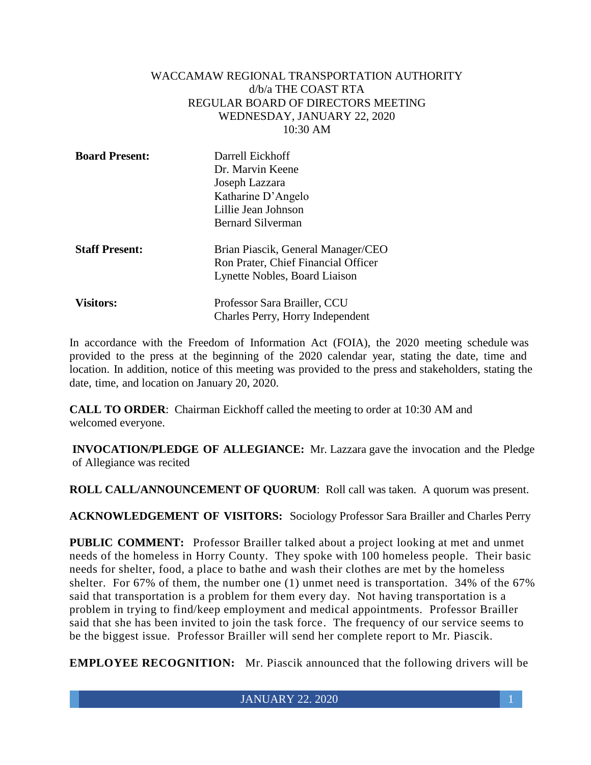### WACCAMAW REGIONAL TRANSPORTATION AUTHORITY d/b/a THE COAST RTA REGULAR BOARD OF DIRECTORS MEETING WEDNESDAY, JANUARY 22, 2020 10:30 AM

| <b>Board Present:</b> | Darrell Eickhoff<br>Dr. Marvin Keene<br>Joseph Lazzara<br>Katharine D'Angelo<br>Lillie Jean Johnson<br><b>Bernard Silverman</b> |
|-----------------------|---------------------------------------------------------------------------------------------------------------------------------|
| <b>Staff Present:</b> | Brian Piascik, General Manager/CEO<br>Ron Prater, Chief Financial Officer<br>Lynette Nobles, Board Liaison                      |
| <b>Visitors:</b>      | Professor Sara Brailler, CCU<br>Charles Perry, Horry Independent                                                                |

In accordance with the Freedom of Information Act (FOIA), the 2020 meeting schedule was provided to the press at the beginning of the 2020 calendar year, stating the date, time and location. In addition, notice of this meeting was provided to the press and stakeholders, stating the date, time, and location on January 20, 2020.

**CALL TO ORDER**: Chairman Eickhoff called the meeting to order at 10:30 AM and welcomed everyone.

**INVOCATION/PLEDGE OF ALLEGIANCE:** Mr. Lazzara gave the invocation and the Pledge of Allegiance was recited

**ROLL CALL/ANNOUNCEMENT OF QUORUM**: Roll call was taken. A quorum was present.

**ACKNOWLEDGEMENT OF VISITORS:** Sociology Professor Sara Brailler and Charles Perry

**PUBLIC COMMENT:** Professor Brailler talked about a project looking at met and unmet needs of the homeless in Horry County. They spoke with 100 homeless people. Their basic needs for shelter, food, a place to bathe and wash their clothes are met by the homeless shelter. For 67% of them, the number one (1) unmet need is transportation. 34% of the 67% said that transportation is a problem for them every day. Not having transportation is a problem in trying to find/keep employment and medical appointments. Professor Brailler said that she has been invited to join the task force. The frequency of our service seems to be the biggest issue. Professor Brailler will send her complete report to Mr. Piascik.

**EMPLOYEE RECOGNITION:** Mr. Piascik announced that the following drivers will be

JANUARY 22. 2020 1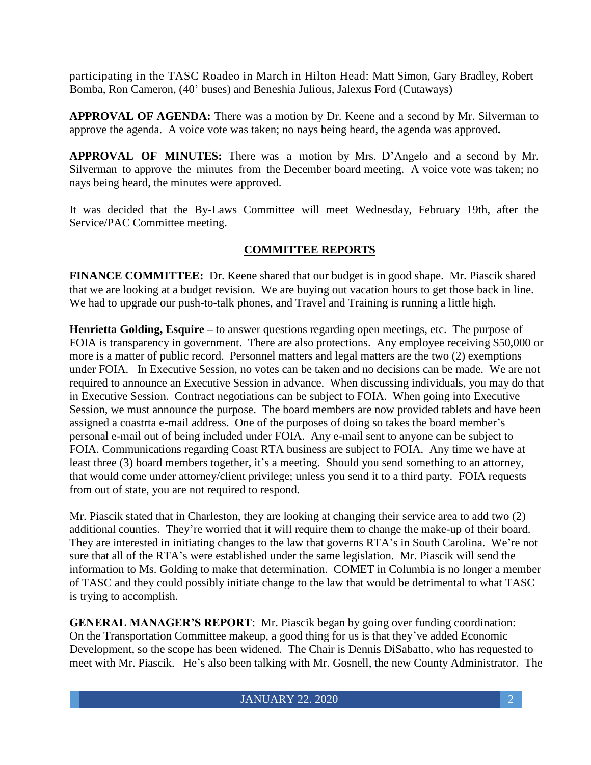participating in the TASC Roadeo in March in Hilton Head: Matt Simon, Gary Bradley, Robert Bomba, Ron Cameron, (40' buses) and Beneshia Julious, Jalexus Ford (Cutaways)

**APPROVAL OF AGENDA:** There was a motion by Dr. Keene and a second by Mr. Silverman to approve the agenda. A voice vote was taken; no nays being heard, the agenda was approved**.**

**APPROVAL OF MINUTES:** There was a motion by Mrs. D'Angelo and a second by Mr. Silverman to approve the minutes from the December board meeting. A voice vote was taken; no nays being heard, the minutes were approved.

It was decided that the By-Laws Committee will meet Wednesday, February 19th, after the Service/PAC Committee meeting.

# **COMMITTEE REPORTS**

**FINANCE COMMITTEE:** Dr. Keene shared that our budget is in good shape.Mr. Piascik shared that we are looking at a budget revision. We are buying out vacation hours to get those back in line. We had to upgrade our push-to-talk phones, and Travel and Training is running a little high.

**Henrietta Golding, Esquire –** to answer questions regarding open meetings, etc. The purpose of FOIA is transparency in government. There are also protections. Any employee receiving \$50,000 or more is a matter of public record. Personnel matters and legal matters are the two (2) exemptions under FOIA. In Executive Session, no votes can be taken and no decisions can be made. We are not required to announce an Executive Session in advance. When discussing individuals, you may do that in Executive Session. Contract negotiations can be subject to FOIA. When going into Executive Session, we must announce the purpose. The board members are now provided tablets and have been assigned a coastrta e-mail address. One of the purposes of doing so takes the board member's personal e-mail out of being included under FOIA. Any e-mail sent to anyone can be subject to FOIA. Communications regarding Coast RTA business are subject to FOIA. Any time we have at least three (3) board members together, it's a meeting. Should you send something to an attorney, that would come under attorney/client privilege; unless you send it to a third party. FOIA requests from out of state, you are not required to respond.

Mr. Piascik stated that in Charleston, they are looking at changing their service area to add two (2) additional counties. They're worried that it will require them to change the make-up of their board. They are interested in initiating changes to the law that governs RTA's in South Carolina. We're not sure that all of the RTA's were established under the same legislation. Mr. Piascik will send the information to Ms. Golding to make that determination. COMET in Columbia is no longer a member of TASC and they could possibly initiate change to the law that would be detrimental to what TASC is trying to accomplish.

**GENERAL MANAGER'S REPORT**: Mr. Piascik began by going over funding coordination: On the Transportation Committee makeup, a good thing for us is that they've added Economic Development, so the scope has been widened. The Chair is Dennis DiSabatto, who has requested to meet with Mr. Piascik. He's also been talking with Mr. Gosnell, the new County Administrator. The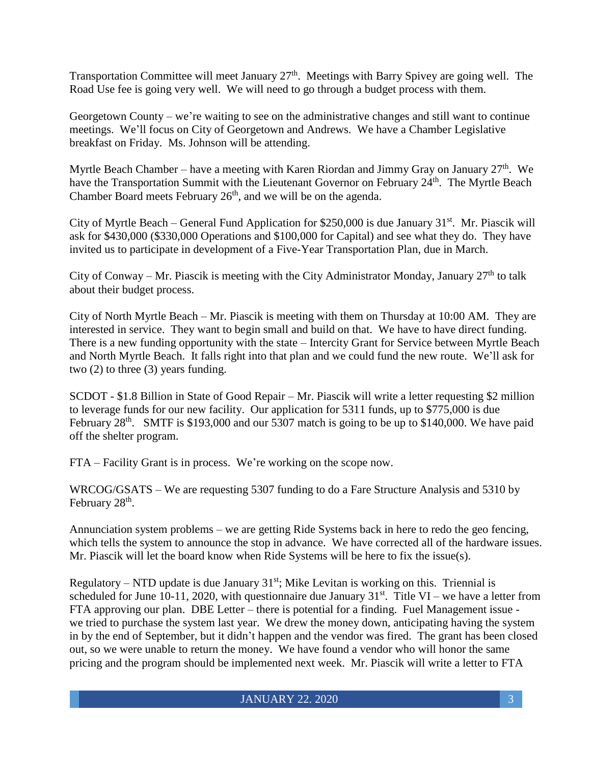Transportation Committee will meet January 27<sup>th</sup>. Meetings with Barry Spivey are going well. The Road Use fee is going very well. We will need to go through a budget process with them.

Georgetown County – we're waiting to see on the administrative changes and still want to continue meetings. We'll focus on City of Georgetown and Andrews. We have a Chamber Legislative breakfast on Friday. Ms. Johnson will be attending.

Myrtle Beach Chamber – have a meeting with Karen Riordan and Jimmy Gray on January  $27<sup>th</sup>$ . We have the Transportation Summit with the Lieutenant Governor on February 24<sup>th</sup>. The Myrtle Beach Chamber Board meets February  $26<sup>th</sup>$ , and we will be on the agenda.

City of Myrtle Beach – General Fund Application for \$250,000 is due January  $31<sup>st</sup>$ . Mr. Piascik will ask for \$430,000 (\$330,000 Operations and \$100,000 for Capital) and see what they do. They have invited us to participate in development of a Five-Year Transportation Plan, due in March.

City of Conway – Mr. Piascik is meeting with the City Administrator Monday, January  $27<sup>th</sup>$  to talk about their budget process.

City of North Myrtle Beach – Mr. Piascik is meeting with them on Thursday at 10:00 AM. They are interested in service. They want to begin small and build on that. We have to have direct funding. There is a new funding opportunity with the state – Intercity Grant for Service between Myrtle Beach and North Myrtle Beach. It falls right into that plan and we could fund the new route. We'll ask for two (2) to three (3) years funding.

SCDOT - \$1.8 Billion in State of Good Repair – Mr. Piascik will write a letter requesting \$2 million to leverage funds for our new facility. Our application for 5311 funds, up to \$775,000 is due February  $28<sup>th</sup>$ . SMTF is \$193,000 and our 5307 match is going to be up to \$140,000. We have paid off the shelter program.

FTA – Facility Grant is in process. We're working on the scope now.

WRCOG/GSATS – We are requesting 5307 funding to do a Fare Structure Analysis and 5310 by February 28<sup>th</sup>.

Annunciation system problems – we are getting Ride Systems back in here to redo the geo fencing, which tells the system to announce the stop in advance. We have corrected all of the hardware issues. Mr. Piascik will let the board know when Ride Systems will be here to fix the issue(s).

Regulatory – NTD update is due January  $31<sup>st</sup>$ ; Mike Levitan is working on this. Triennial is scheduled for June 10-11, 2020, with questionnaire due January  $31<sup>st</sup>$ . Title VI – we have a letter from FTA approving our plan. DBE Letter – there is potential for a finding. Fuel Management issue we tried to purchase the system last year. We drew the money down, anticipating having the system in by the end of September, but it didn't happen and the vendor was fired. The grant has been closed out, so we were unable to return the money. We have found a vendor who will honor the same pricing and the program should be implemented next week. Mr. Piascik will write a letter to FTA